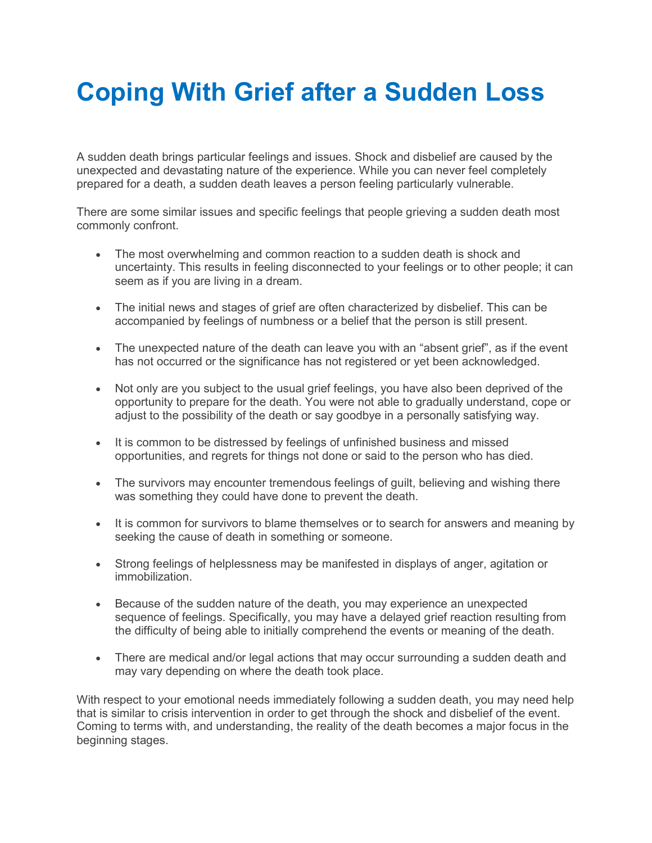## **Coping With Grief after a Sudden Loss**

A sudden death brings particular feelings and issues. Shock and disbelief are caused by the unexpected and devastating nature of the experience. While you can never feel completely prepared for a death, a sudden death leaves a person feeling particularly vulnerable.

There are some similar issues and specific feelings that people grieving a sudden death most commonly confront.

- The most overwhelming and common reaction to a sudden death is shock and uncertainty. This results in feeling disconnected to your feelings or to other people; it can seem as if you are living in a dream.
- The initial news and stages of grief are often characterized by disbelief. This can be accompanied by feelings of numbness or a belief that the person is still present.
- The unexpected nature of the death can leave you with an "absent grief", as if the event has not occurred or the significance has not registered or yet been acknowledged.
- Not only are you subject to the usual grief feelings, you have also been deprived of the opportunity to prepare for the death. You were not able to gradually understand, cope or adjust to the possibility of the death or say goodbye in a personally satisfying way.
- It is common to be distressed by feelings of unfinished business and missed opportunities, and regrets for things not done or said to the person who has died.
- The survivors may encounter tremendous feelings of quilt, believing and wishing there was something they could have done to prevent the death.
- It is common for survivors to blame themselves or to search for answers and meaning by seeking the cause of death in something or someone.
- Strong feelings of helplessness may be manifested in displays of anger, agitation or immobilization.
- Because of the sudden nature of the death, you may experience an unexpected sequence of feelings. Specifically, you may have a delayed grief reaction resulting from the difficulty of being able to initially comprehend the events or meaning of the death.
- There are medical and/or legal actions that may occur surrounding a sudden death and may vary depending on where the death took place.

With respect to your emotional needs immediately following a sudden death, you may need help that is similar to crisis intervention in order to get through the shock and disbelief of the event. Coming to terms with, and understanding, the reality of the death becomes a major focus in the beginning stages.